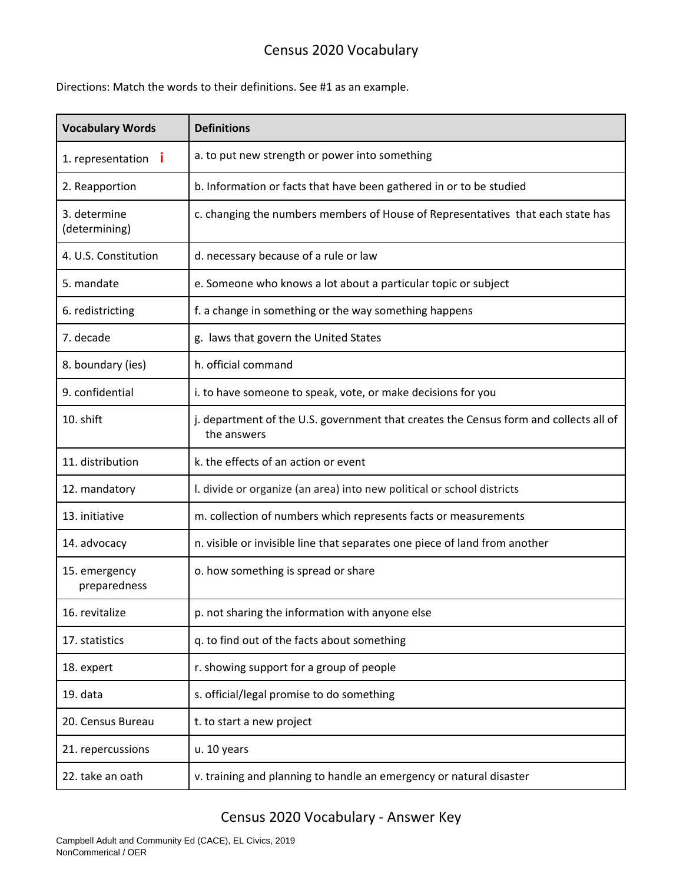## Census 2020 Vocabulary

Directions: Match the words to their definitions. See #1 as an example.

| <b>Vocabulary Words</b>       | <b>Definitions</b>                                                                                   |
|-------------------------------|------------------------------------------------------------------------------------------------------|
| 1. representation <b>i</b>    | a. to put new strength or power into something                                                       |
| 2. Reapportion                | b. Information or facts that have been gathered in or to be studied                                  |
| 3. determine<br>(determining) | c. changing the numbers members of House of Representatives that each state has                      |
| 4. U.S. Constitution          | d. necessary because of a rule or law                                                                |
| 5. mandate                    | e. Someone who knows a lot about a particular topic or subject                                       |
| 6. redistricting              | f. a change in something or the way something happens                                                |
| 7. decade                     | g. laws that govern the United States                                                                |
| 8. boundary (ies)             | h. official command                                                                                  |
| 9. confidential               | i. to have someone to speak, vote, or make decisions for you                                         |
| 10. shift                     | j. department of the U.S. government that creates the Census form and collects all of<br>the answers |
| 11. distribution              | k. the effects of an action or event                                                                 |
| 12. mandatory                 | I. divide or organize (an area) into new political or school districts                               |
| 13. initiative                | m. collection of numbers which represents facts or measurements                                      |
| 14. advocacy                  | n. visible or invisible line that separates one piece of land from another                           |
| 15. emergency<br>preparedness | o. how something is spread or share                                                                  |
| 16. revitalize                | p. not sharing the information with anyone else                                                      |
| 17. statistics                | q. to find out of the facts about something                                                          |
| 18. expert                    | r. showing support for a group of people                                                             |
| 19. data                      | s. official/legal promise to do something                                                            |
| 20. Census Bureau             | t. to start a new project                                                                            |
| 21. repercussions             | u. 10 years                                                                                          |
| 22. take an oath              | v. training and planning to handle an emergency or natural disaster                                  |

## Census 2020 Vocabulary - Answer Key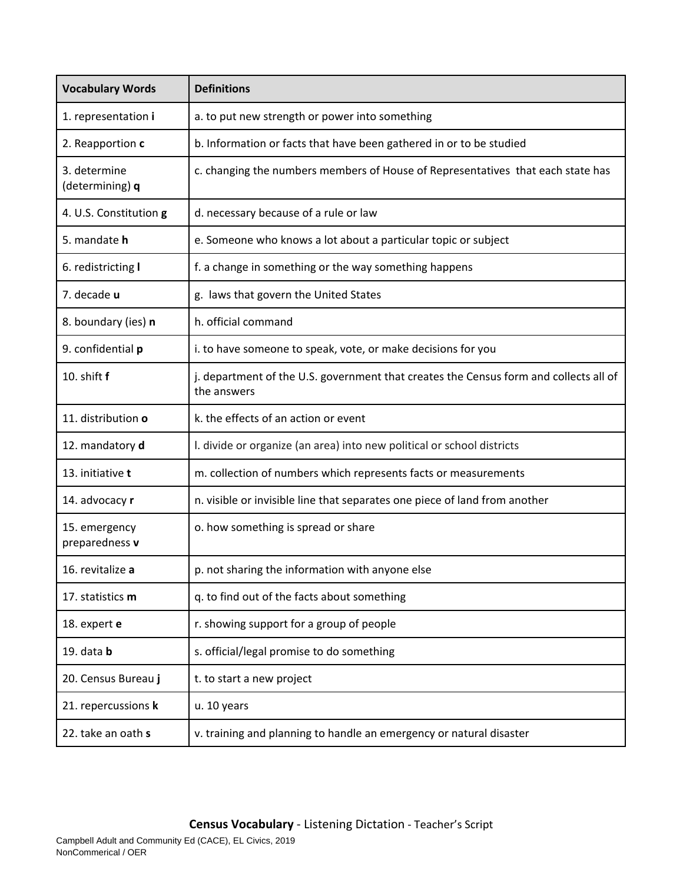| <b>Vocabulary Words</b>         | <b>Definitions</b>                                                                                   |
|---------------------------------|------------------------------------------------------------------------------------------------------|
| 1. representation i             | a. to put new strength or power into something                                                       |
| 2. Reapportion c                | b. Information or facts that have been gathered in or to be studied                                  |
| 3. determine<br>(determining) q | c. changing the numbers members of House of Representatives that each state has                      |
| 4. U.S. Constitution g          | d. necessary because of a rule or law                                                                |
| 5. mandate h                    | e. Someone who knows a lot about a particular topic or subject                                       |
| 6. redistricting I              | f. a change in something or the way something happens                                                |
| 7. decade u                     | g. laws that govern the United States                                                                |
| 8. boundary (ies) n             | h. official command                                                                                  |
| 9. confidential p               | i. to have someone to speak, vote, or make decisions for you                                         |
| 10. shift f                     | j. department of the U.S. government that creates the Census form and collects all of<br>the answers |
| 11. distribution o              | k. the effects of an action or event                                                                 |
| 12. mandatory d                 | I. divide or organize (an area) into new political or school districts                               |
| 13. initiative t                | m. collection of numbers which represents facts or measurements                                      |
| 14. advocacy r                  | n. visible or invisible line that separates one piece of land from another                           |
| 15. emergency<br>preparedness v | o. how something is spread or share                                                                  |
| 16. revitalize a                | p. not sharing the information with anyone else                                                      |
| 17. statistics m                | q. to find out of the facts about something                                                          |
| 18. expert e                    | r. showing support for a group of people                                                             |
| 19. data $b$                    | s. official/legal promise to do something                                                            |
| 20. Census Bureau j             | t. to start a new project                                                                            |
| 21. repercussions k             | u. 10 years                                                                                          |
| 22. take an oath s              | v. training and planning to handle an emergency or natural disaster                                  |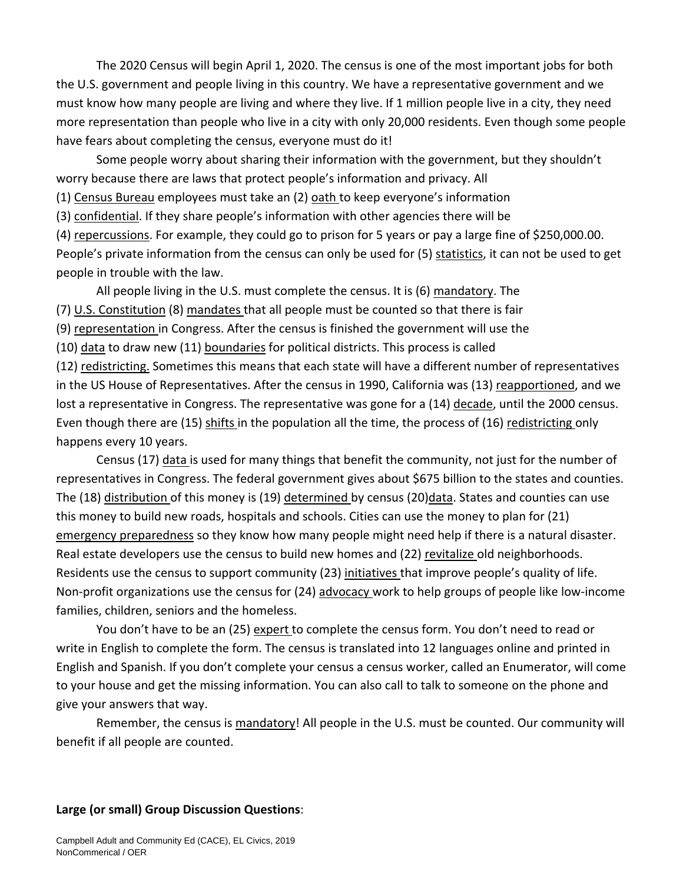The 2020 Census will begin April 1, 2020. The census is one of the most important jobs for both the U.S. government and people living in this country. We have a representative government and we must know how many people are living and where they live. If 1 million people live in a city, they need more representation than people who live in a city with only 20,000 residents. Even though some people have fears about completing the census, everyone must do it!

Some people worry about sharing their information with the government, but they shouldn't worry because there are laws that protect people's information and privacy. All

(1) Census Bureau employees must take an (2) oath to keep everyone's information

(3) confidential. If they share people's information with other agencies there will be

(4) repercussions. For example, they could go to prison for 5 years or pay a large fine of \$250,000.00. People's private information from the census can only be used for (5) statistics, it can not be used to get people in trouble with the law.

All people living in the U.S. must complete the census. It is (6) mandatory. The

(7) U.S. Constitution (8) mandates that all people must be counted so that there is fair

(9) representation in Congress. After the census is finished the government will use the

(10) data to draw new (11) boundaries for political districts. This process is called

(12) redistricting. Sometimes this means that each state will have a different number of representatives in the US House of Representatives. After the census in 1990, California was (13) reapportioned, and we lost a representative in Congress. The representative was gone for a (14) decade, until the 2000 census. Even though there are (15) shifts in the population all the time, the process of (16) redistricting only happens every 10 years.

Census (17) data is used for many things that benefit the community, not just for the number of representatives in Congress. The federal government gives about \$675 billion to the states and counties. The (18) distribution of this money is (19) determined by census (20)data. States and counties can use this money to build new roads, hospitals and schools. Cities can use the money to plan for (21) emergency preparedness so they know how many people might need help if there is a natural disaster. Real estate developers use the census to build new homes and (22) revitalize old neighborhoods. Residents use the census to support community (23) initiatives that improve people's quality of life. Non-profit organizations use the census for (24) advocacy work to help groups of people like low-income families, children, seniors and the homeless.

You don't have to be an (25) expert to complete the census form. You don't need to read or write in English to complete the form. The census is translated into 12 languages online and printed in English and Spanish. If you don't complete your census a census worker, called an Enumerator, will come to your house and get the missing information. You can also call to talk to someone on the phone and give your answers that way.

Remember, the census is mandatory! All people in the U.S. must be counted. Our community will benefit if all people are counted.

## **Large (or small) Group Discussion Questions**: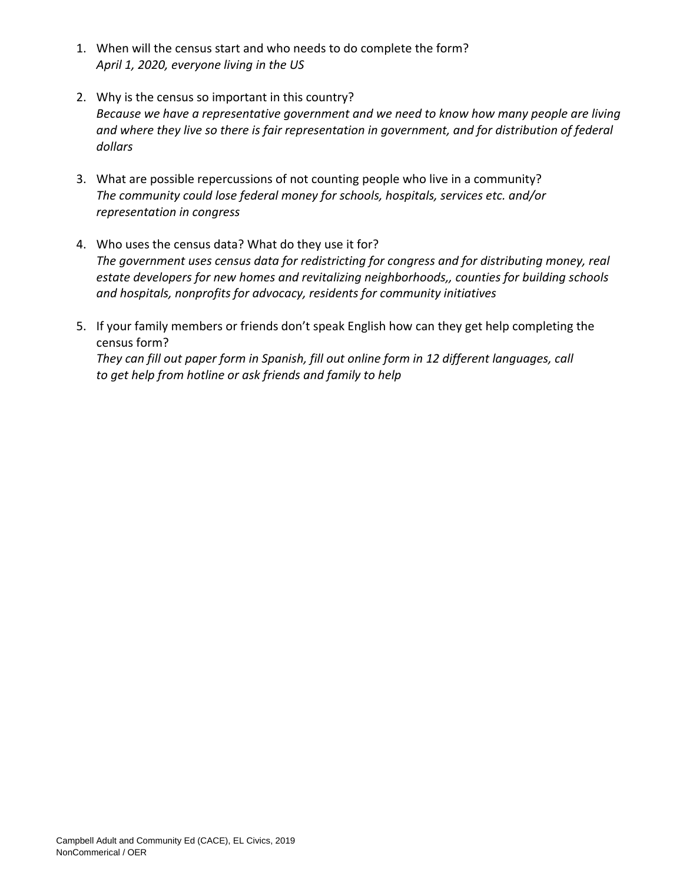- 1. When will the census start and who needs to do complete the form? *April 1, 2020, everyone living in the US*
- 2. Why is the census so important in this country? *Because we have a representative government and we need to know how many people are living and where they live so there is fair representation in government, and for distribution of federal dollars*
- 3. What are possible repercussions of not counting people who live in a community? *The community could lose federal money for schools, hospitals, services etc. and/or representation in congress*
- 4. Who uses the census data? What do they use it for? *The government uses census data for redistricting for congress and for distributing money, real estate developers for new homes and revitalizing neighborhoods,, counties for building schools and hospitals, nonprofits for advocacy, residents for community initiatives*
- 5. If your family members or friends don't speak English how can they get help completing the census form? *They can fill out paper form in Spanish, fill out online form in 12 different languages, call to get help from hotline or ask friends and family to help*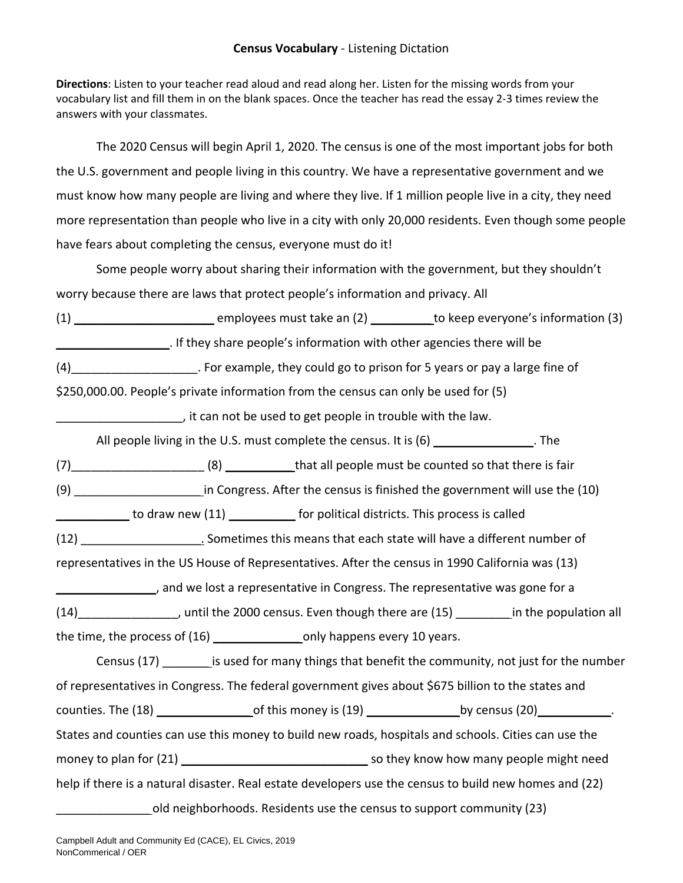## **Census Vocabulary** - Listening Dictation

**Directions**: Listen to your teacher read aloud and read along her. Listen for the missing words from your vocabulary list and fill them in on the blank spaces. Once the teacher has read the essay 2-3 times review the answers with your classmates.

The 2020 Census will begin April 1, 2020. The census is one of the most important jobs for both the U.S. government and people living in this country. We have a representative government and we must know how many people are living and where they live. If 1 million people live in a city, they need more representation than people who live in a city with only 20,000 residents. Even though some people have fears about completing the census, everyone must do it!

Some people worry about sharing their information with the government, but they shouldn't worry because there are laws that protect people's information and privacy. All

(1) \_\_\_\_\_\_\_\_\_\_\_\_\_\_\_\_\_\_\_\_\_\_\_\_\_\_\_ employees must take an (2) \_\_\_\_\_\_\_\_\_\_\_\_ to keep everyone's information (3) \_\_\_\_\_\_\_\_\_\_\_\_\_\_\_\_\_. If they share people's information with other agencies there will be

(4)\_\_\_\_\_\_\_\_\_\_\_\_\_\_\_\_\_\_\_. For example, they could go to prison for 5 years or pay a large fine of

\$250,000.00. People's private information from the census can only be used for (5)

\_\_\_\_\_\_\_\_\_\_\_\_\_\_\_\_\_\_\_, it can not be used to get people in trouble with the law.

All people living in the U.S. must complete the census. It is (6) \_\_\_\_\_\_\_\_\_\_\_\_\_\_\_. The

(7)\_\_\_\_\_\_\_\_\_\_\_\_\_\_\_\_\_\_\_\_ (8) \_\_\_\_\_\_\_\_\_\_ that all people must be counted so that there is fair

(9) \_\_\_\_\_\_\_\_\_\_\_\_\_\_\_\_\_\_\_ in Congress. After the census is finished the government will use the (10)

to draw new (11) \_\_\_\_\_\_\_\_\_\_\_ for political districts. This process is called

(12) \_\_\_\_\_\_\_\_\_\_\_\_\_\_\_\_\_\_. Sometimes this means that each state will have a different number of

representatives in the US House of Representatives. After the census in 1990 California was (13)

\_\_\_\_\_\_\_\_\_\_\_\_\_\_\_, and we lost a representative in Congress. The representative was gone for a

(14) The 2000 census. Even though there are (15) The population all the time, the process of (16) happens every 10 years.

Census (17) \_\_\_\_\_\_\_\_\_ is used for many things that benefit the community, not just for the number of representatives in Congress. The federal government gives about \$675 billion to the states and counties. The (18) \_\_\_\_\_\_\_\_\_\_\_\_\_\_ of this money is (19) \_\_\_\_\_\_\_\_\_\_\_\_\_\_by census (20)\_\_\_\_\_\_\_\_\_\_\_. States and counties can use this money to build new roads, hospitals and schools. Cities can use the money to plan for (21) \_\_\_\_\_\_\_\_\_\_\_\_\_\_\_\_\_\_\_\_\_\_\_\_\_\_\_\_ so they know how many people might need help if there is a natural disaster. Real estate developers use the census to build new homes and (22)

\_\_\_\_\_\_\_\_\_\_\_\_\_\_ old neighborhoods. Residents use the census to support community (23)